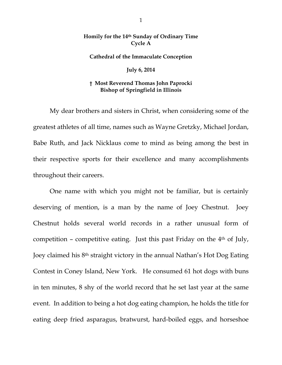## **Homily for the 14th Sunday of Ordinary Time Cycle A**

## **Cathedral of the Immaculate Conception**

## **July 6, 2014**

## **† Most Reverend Thomas John Paprocki Bishop of Springfield in Illinois**

 My dear brothers and sisters in Christ, when considering some of the greatest athletes of all time, names such as Wayne Gretzky, Michael Jordan, Babe Ruth, and Jack Nicklaus come to mind as being among the best in their respective sports for their excellence and many accomplishments throughout their careers.

 One name with which you might not be familiar, but is certainly deserving of mention, is a man by the name of Joey Chestnut. Joey Chestnut holds several world records in a rather unusual form of competition – competitive eating. Just this past Friday on the  $4<sup>th</sup>$  of July, Joey claimed his 8th straight victory in the annual Nathan's Hot Dog Eating Contest in Coney Island, New York. He consumed 61 hot dogs with buns in ten minutes, 8 shy of the world record that he set last year at the same event. In addition to being a hot dog eating champion, he holds the title for eating deep fried asparagus, bratwurst, hard-boiled eggs, and horseshoe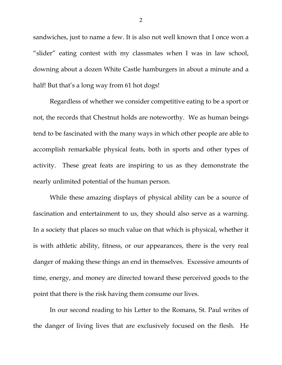sandwiches, just to name a few. It is also not well known that I once won a "slider" eating contest with my classmates when I was in law school, downing about a dozen White Castle hamburgers in about a minute and a half! But that's a long way from 61 hot dogs!

 Regardless of whether we consider competitive eating to be a sport or not, the records that Chestnut holds are noteworthy. We as human beings tend to be fascinated with the many ways in which other people are able to accomplish remarkable physical feats, both in sports and other types of activity. These great feats are inspiring to us as they demonstrate the nearly unlimited potential of the human person.

 While these amazing displays of physical ability can be a source of fascination and entertainment to us, they should also serve as a warning. In a society that places so much value on that which is physical, whether it is with athletic ability, fitness, or our appearances, there is the very real danger of making these things an end in themselves. Excessive amounts of time, energy, and money are directed toward these perceived goods to the point that there is the risk having them consume our lives.

 In our second reading to his Letter to the Romans, St. Paul writes of the danger of living lives that are exclusively focused on the flesh. He

2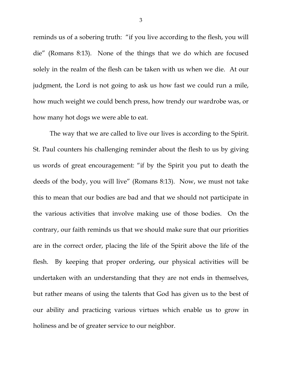reminds us of a sobering truth: "if you live according to the flesh, you will die" (Romans 8:13). None of the things that we do which are focused solely in the realm of the flesh can be taken with us when we die. At our judgment, the Lord is not going to ask us how fast we could run a mile, how much weight we could bench press, how trendy our wardrobe was, or how many hot dogs we were able to eat.

 The way that we are called to live our lives is according to the Spirit. St. Paul counters his challenging reminder about the flesh to us by giving us words of great encouragement: "if by the Spirit you put to death the deeds of the body, you will live" (Romans 8:13). Now, we must not take this to mean that our bodies are bad and that we should not participate in the various activities that involve making use of those bodies. On the contrary, our faith reminds us that we should make sure that our priorities are in the correct order, placing the life of the Spirit above the life of the flesh. By keeping that proper ordering, our physical activities will be undertaken with an understanding that they are not ends in themselves, but rather means of using the talents that God has given us to the best of our ability and practicing various virtues which enable us to grow in holiness and be of greater service to our neighbor.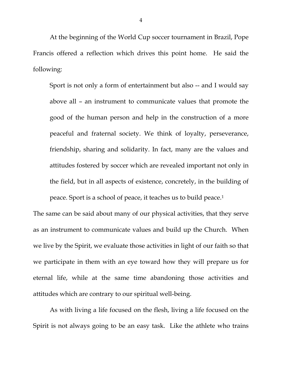At the beginning of the World Cup soccer tournament in Brazil, Pope Francis offered a reflection which drives this point home. He said the following:

Sport is not only a form of entertainment but also -- and I would say above all – an instrument to communicate values that promote the good of the human person and help in the construction of a more peaceful and fraternal society. We think of loyalty, perseverance, friendship, sharing and solidarity. In fact, many are the values and attitudes fostered by soccer which are revealed important not only in the field, but in all aspects of existence, concretely, in the building of peace. Sport is a school of peace, it teaches us to build peace.1

The same can be said about many of our physical activities, that they serve as an instrument to communicate values and build up the Church. When we live by the Spirit, we evaluate those activities in light of our faith so that we participate in them with an eye toward how they will prepare us for eternal life, while at the same time abandoning those activities and attitudes which are contrary to our spiritual well-being.

 As with living a life focused on the flesh, living a life focused on the Spirit is not always going to be an easy task. Like the athlete who trains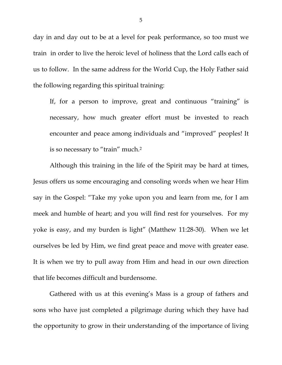day in and day out to be at a level for peak performance, so too must we train in order to live the heroic level of holiness that the Lord calls each of us to follow. In the same address for the World Cup, the Holy Father said the following regarding this spiritual training:

If, for a person to improve, great and continuous "training" is necessary, how much greater effort must be invested to reach encounter and peace among individuals and "improved" peoples! It is so necessary to "train" much.2

Although this training in the life of the Spirit may be hard at times, Jesus offers us some encouraging and consoling words when we hear Him say in the Gospel: "Take my yoke upon you and learn from me, for I am meek and humble of heart; and you will find rest for yourselves. For my yoke is easy, and my burden is light" (Matthew 11:28-30). When we let ourselves be led by Him, we find great peace and move with greater ease. It is when we try to pull away from Him and head in our own direction that life becomes difficult and burdensome.

Gathered with us at this evening's Mass is a group of fathers and sons who have just completed a pilgrimage during which they have had the opportunity to grow in their understanding of the importance of living